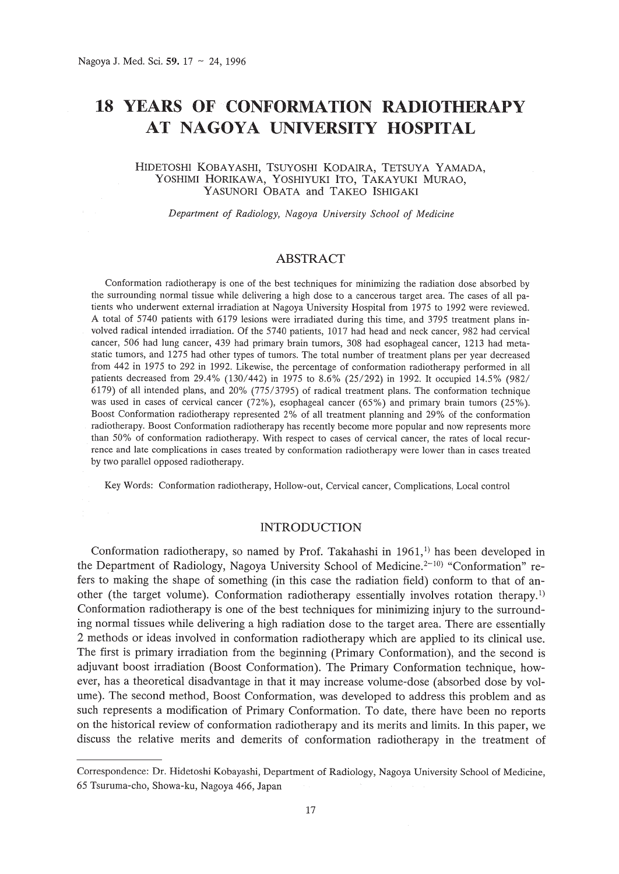# **18 YEARS OF CONFORMATION RADIOTHERAPY AT NAGOYA UNIVERSITY HOSPITAL**

### HIDETOSHI KOBAYASHI, TSUYOSHI KODAIRA, TETSUYA YAMADA, YOSHIMI HORlKAWA, YOSHlYUKI ITO, TAKAYUKI MURAO, YASUNORI OBATA and TAKEO ISHIGAKI

*Department of Radiology, Nagoya University School of Medicine*

# ABSTRACT

Conformation radiotherapy is one of the best techniques for minimizing the radiation dose absorbed by the surrounding normal tissue while delivering a high dose to a cancerous target area. The cases of all patients who underwent external irradiation at Nagoya University Hospital from 1975 to 1992 were reviewed. A total of 5740 patients with 6179 lesions were irradiated during this time, and 3795 treatment plans involved radical intended irradiation. Of the 5740 patients, 1017 had head and neck cancer, 982 had cervical cancer, 506 had lung cancer, 439 had primary brain tumors, 308 had esophageal cancer, 1213 had metastatic tumors, and 1275 had other types of tumors. The total number of treatment plans per year decreased from 442 in 1975 to 292 in 1992. Likewise, the percentage of conformation radiotherapy performed in all patients decreased from 29.4% (130/442) in 1975 to 8.6% (25/292) in 1992. It occupied 14.5% (982/ 6179) of all intended plans, and 20% (775/3795) of radical treatment plans. The conformation technique was used in cases of cervical cancer (72%), esophageal cancer (65%) and primary brain tumors (25%). Boost Conformation radiotherapy represented 2% of all treatment planning and 29% of the conformation radiotherapy. Boost Conformation radiotherapy has recently become more popular and now represents more than 50% of conformation radiotherapy. With respect to cases of cervical cancer, the rates of local recurrence and late complications in cases treated by conformation radiotherapy were lower than in cases treated by two parallel opposed radiotherapy.

Key Words: Conformation radiotherapy, Hollow-out, Cervical cancer, Complications, Local control

# INTRODUCTION

Conformation radiotherapy, so named by Prof. Takahashi in 1961,<sup>1)</sup> has been developed in the Department of Radiology, Nagoya University School of Medicine.<sup>2-10)</sup> "Conformation" refers to making the shape of something (in this case the radiation field) conform to that of another (the target volume). Conformation radiotherapy essentially involves rotation therapy.<sup>1)</sup> Conformation radiotherapy is one of the best techniques for minimizing injury to the surrounding normal tissues while delivering a high radiation dose to the target area. There are essentially 2 methods or ideas involved in conformation radiotherapy which are applied to its clinical use. The first is primary irradiation from the beginning (Primary Conformation), and the second is adjuvant boost irradiation (Boost Conformation). The Primary Conformation technique, however, has a theoretical disadvantage in that it may increase volume-dose (absorbed dose by volume). The second method, Boost Conformation, was developed to address this problem and as such represents a modification of Primary Conformation. To date, there have been no reports on the historical review of conformation radiotherapy and its merits and limits. In this paper, we discuss the relative merits and demerits of conformation radiotherapy in the treatment of

Correspondence: Dr. Hidetoshi Kobayashi, Department of Radiology, Nagoya University School of Medicine, 65 Tsuruma-cho, Showa-ku, Nagoya 466, Japan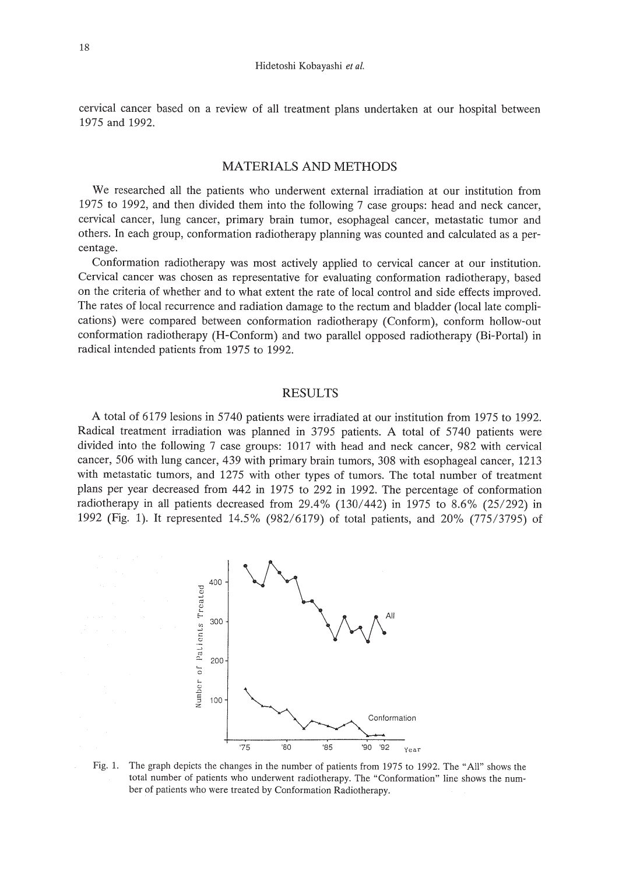cervical cancer based on a review of all treatment plans undertaken at our hospital between 1975 and 1992.

# MATERIALS AND METHODS

We researched all the patients who underwent external irradiation at our institution from 1975 to 1992, and then divided them into the following 7 case groups: head and neck cancer, cervical cancer, lung cancer, primary brain tumor, esophageal cancer, metastatic tumor and others. In each group, conformation radiotherapy planning was counted and calculated as a percentage.

Conformation radiotherapy was most actively applied to cervical cancer at our institution. Cervical cancer was chosen as representative for evaluating conformation radiotherapy, based on the criteria of whether and to what extent the rate of local control and side effects improved. The rates of local recurrence and radiation damage to the rectum and bladder (local late complications) were compared between conformation radiotherapy (Conform), conform hollow-out conformation radiotherapy (H-Conform) and two parallel opposed radiotherapy (Bi-Portal) in radical intended patients from 1975 to 1992.

## RESULTS

A total of 6179 lesions in 5740 patients were irradiated at our institution from 1975 to 1992. Radical treatment irradiation was planned in 3795 patients. A total of 5740 patients were divided into the following 7 case groups: 1017 with head and neck cancer, 982 with cervical cancer, 506 with lung cancer, 439 with primary brain tumors, 308 with esophageal cancer, 1213 with metastatic tumors, and 1275 with other types of tumors. The total number of treatment plans per year decreased from 442 in 1975 to 292 in 1992. The percentage of conformation radiotherapy in all patients decreased from 29.4% (130/442) in 1975 to 8.6% (25/292) in 1992 (Fig. 1). It represented 14.5% (982/6179) of total patients, and 20% (775/3795) of



Fig. 1. The graph depicts the changes in the number of patients from 1975 to 1992. The "All" shows the total number of patients who underwent radiotherapy. The "Conformation" line shows the number of patients who were treated by Conformation Radiotherapy.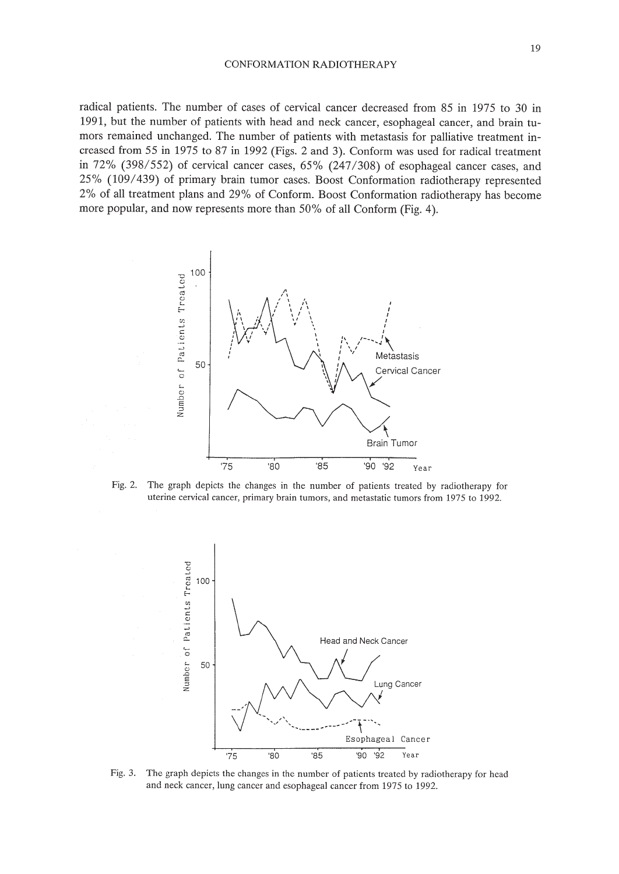radical patients. The number of cases of cervical cancer decreased from 85 in 1975 to 30 in 1991, but the number of patients with head and neck cancer, esophageal cancer, and brain tumors remained unchanged. The number of patients with metastasis for palliative treatment increased from 55 in 1975 to 87 in 1992 (Figs. 2 and 3). Conform was used for radical treatment in 72% (398/552) of cervical cancer cases, 65% (247/308) of esophageal cancer cases, and 25% (109/439) of primary brain tumor cases. Boost Conformation radiotherapy represented 2% of all treatment plans and 29% of Conform. Boost Conformation radiotherapy has become more popular, and now represents more than 50% of all Conform (Fig. 4).



Fig. 2. The graph depicts the changes in the number of patients treated by radiotherapy for uterine cervical cancer, primary brain tumors, and metastatic tumors from 1975 to 1992.



Fig. 3. The graph depicts the changes in the number of patients treated by radiotherapy for head and neck cancer, lung cancer and esophageal cancer from 1975 to 1992.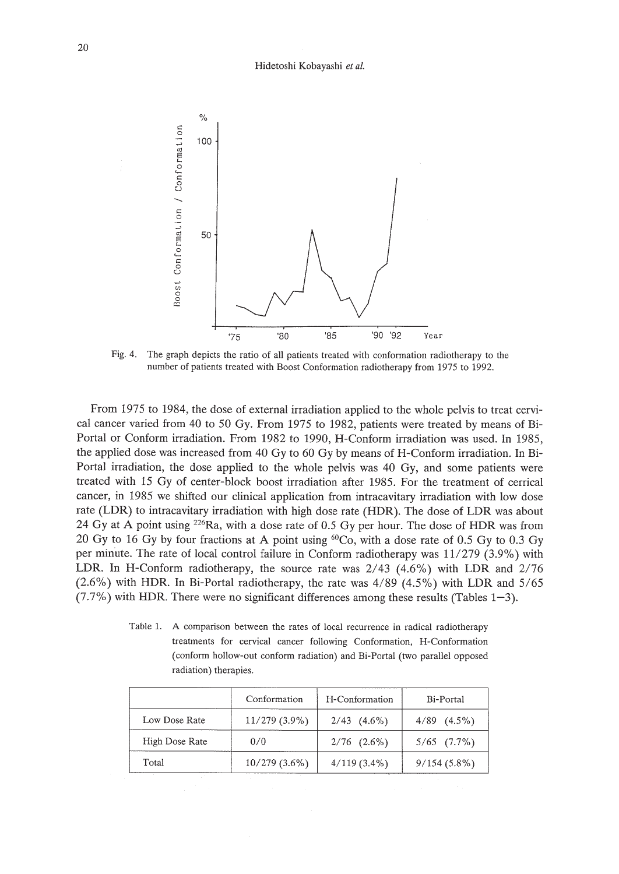

Fig. 4. The graph depicts the ratio of all patients treated with conformation radiotherapy to the number of patients treated with Boost Conformation radiotherapy from 1975 to 1992.

From 1975 to 1984, the dose of external irradiation applied to the whole pelvis to treat cervical cancer varied from 40 to 50 Gy. From 1975 to 1982, patients were treated by means of Bi-Portal or Conform irradiation. From 1982 to 1990, H-Conform irradiation was used. In 1985, the applied dose was increased from 40 Gy to 60 Gy by means of H-Conform irradiation. In Bi-Portal irradiation, the dose applied to the whole pelvis was 40 Gy, and some patients were treated with 15 Gy of center-block boost irradiation after 1985. For the treatment of cerrical cancer, in 1985 we shifted our clinical application from intracavitary irradiation with low dose rate (LDR) to intracavitary irradiation with high dose rate (HDR). The dose of LDR was about 24 Gy at A point using  $2^{26}Ra$ , with a dose rate of 0.5 Gy per hour. The dose of HDR was from 20 Gy to 16 Gy by four fractions at A point using  ${}^{60}$ Co, with a dose rate of 0.5 Gy to 0.3 Gy per minute. The rate of local control failure in Conform radiotherapy was 11/279 (3.9%) with LDR. In H-Conform radiotherapy, the source rate was 2/43 (4.6%) with LDR and 2/76 (2.6%) with HDR. In Bi-Portal radiotherapy, the rate was 4/89 (4.5%) with LDR and 5/65  $(7.7\%)$  with HDR. There were no significant differences among these results (Tables 1-3).

Table 1. A comparison between the rates of local recurrence in radical radiotherapy treatments for cervical cancer following Conformation, H-Conformation (conform hollow-out conform radiation) and Bi-Portal (two parallel opposed radiation) therapies.

|                | Conformation<br>H-Conformation |                  | Bi-Portal        |  |
|----------------|--------------------------------|------------------|------------------|--|
| Low Dose Rate  | $11/279(3.9\%)$                | $2/43$ $(4.6\%)$ | $4/89$ $(4.5\%)$ |  |
| High Dose Rate | 0/0                            | $2/76$ $(2.6\%)$ | $5/65$ $(7.7\%)$ |  |
| Total          | $10/279(3.6\%)$                | $4/119(3.4\%)$   | $9/154(5.8\%)$   |  |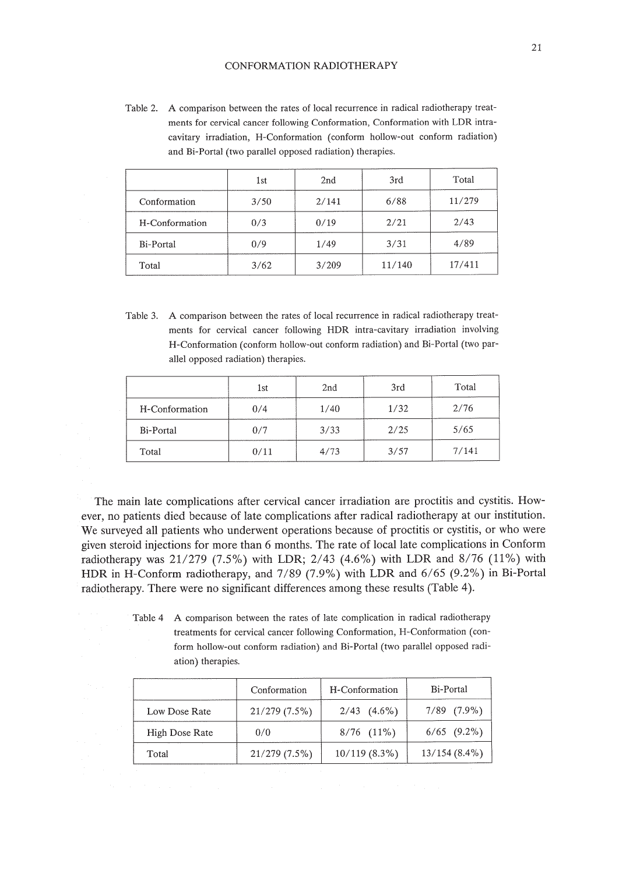#### CONFORMATION RADIOTHERAPY

Table 2. A comparison between the rates of local recurrence in radical radiotherapy treatments for cervical cancer following Conformation, Conformation with LDR intracavitary irradiation, H-Conformation (conform hollow-out conform radiation) and Bi-Portal (two parallel opposed radiation) therapies.

|                | 1st  | 2nd   | 3rd    | Total  |
|----------------|------|-------|--------|--------|
| Conformation   | 3/50 | 2/141 | 6/88   | 11/279 |
| H-Conformation | 0/3  | 0/19  | 2/21   | 2/43   |
| Bi-Portal      | 0/9  | 1/49  | 3/31   | 4/89   |
| Total          | 3/62 | 3/209 | 11/140 | 17/411 |

Table 3. A comparison between the rates of local recurrence in radical radiotherapy treatments for cervical cancer following HDR intra-cavitary irradiation involving H-Conformation (conform hollow-out conform radiation) and Bi-Portal (two parallel opposed radiation) therapies.

|                | 1st  | 2nd  | 3rd  | Total |
|----------------|------|------|------|-------|
| H-Conformation | 0/4  | 1/40 | 1/32 | 2/76  |
| Bi-Portal      | 0/7  | 3/33 | 2/25 | 5/65  |
| Total          | 0/11 | 4/73 | 3/57 | 7/141 |

The main late complications after cervical cancer irradiation are proctitis and cystitis. However, no patients died because of late complications after radical radiotherapy at our institution. We surveyed all patients who underwent operations because of proctitis or cystitis, or who were given steroid injections for more than 6 months. The rate of local late complications in Conform radiotherapy was 21/279 (7.5%) with LDR; 2/43 (4.6%) with LDR and 8/76 (11%) with HDR in H-Conform radiotherapy, and 7/89 (7.9%) with LDR and 6/65 (9.2%) in Bi-Portal radiotherapy. There were no significant differences among these results (Table 4).

> Table 4 A comparison between the rates of late complication in radical radiotherapy treatments for cervical cancer following Conformation, H-Conformation (conform hollow-out conform radiation) and Bi-Portal (two parallel opposed radiation) therapies.

|                | Conformation | H-Conformation   | Bi-Portal        |  |
|----------------|--------------|------------------|------------------|--|
| Low Dose Rate  | 21/279(7.5%) | $2/43$ $(4.6\%)$ | $7/89$ $(7.9\%)$ |  |
| High Dose Rate | 0/0          | $8/76$ $(11\%)$  | $6/65$ $(9.2\%)$ |  |
| Total          | 21/279(7.5%) | 10/119(8.3%)     | $13/154(8.4\%)$  |  |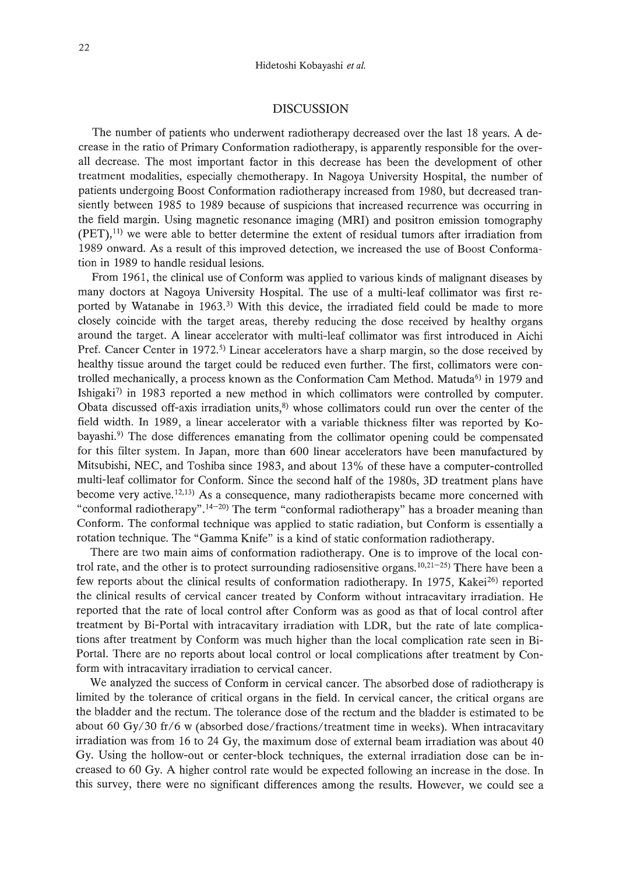## DISCUSSION

The number of patients who underwent radiotherapy decreased over the last 18 years. A decrease in the ratio of Primary Conformation radiotherapy, is apparently responsible for the overall decrease. The most important factor in this decrease has been the development of other treatment modalities, especially chemotherapy. In Nagoya University Hospital, the number of patients undergoing Boost Conformation radiotherapy increased from 1980, but decreased transiently between 1985 to 1989 because of suspicions that increased recurrence was occurring in the field margin. Using magnetic resonance imaging (MRI) and positron emission tomography  $(PET),<sup>11</sup>$  we were able to better determine the extent of residual tumors after irradiation from 1989 onward. As a result of this improved detection, we increased the use of Boost Conformation in 1989 to handle residual lesions.

From 1961, the clinical use of Conform was applied to various kinds of malignant diseases by many doctors at Nagoya University Hospital. The use of a multi-leaf collimator was first reported by Watanabe in 1963.<sup>3)</sup> With this device, the irradiated field could be made to more closely coincide with the target areas, thereby reducing the dose received by healthy organs around the target. A linear accelerator with multi-leaf collimator was first introduced in Aichi Pref. Cancer Center in 1972.<sup>5</sup> Linear accelerators have a sharp margin, so the dose received by healthy tissue around the target could be reduced even further. The first, collimators were controlled mechanically, a process known as the Conformation Cam Method. Matuda<sup>6)</sup> in 1979 and Ishigaki<sup>7)</sup> in 1983 reported a new method in which collimators were controlled by computer. Obata discussed off-axis irradiation units, $^{8}$ ) whose collimators could run over the center of the field width. In 1989, a linear accelerator with a variable thickness filter was reported by Kobayashi.<sup>9)</sup> The dose differences emanating from the collimator opening could be compensated for this filter system. In Japan, more than 600 linear accelerators have been manufactured by Mitsubishi, NEC, and Toshiba since 1983, and about 13% of these have a computer-controlled multi-leaf collimator for Conform. Since the second half of the 1980s, 3D treatment plans have become very active.<sup> $12,13)$ </sup> As a consequence, many radiotherapists became more concerned with "conformal radiotherapy".<sup>14-20</sup>) The term "conformal radiotherapy" has a broader meaning than Conform. The conformal technique was applied to static radiation, but Conform is essentially a rotation technique. The "Gamma Knife" is a kind of static conformation radiotherapy.

There are two main aims of conformation radiotherapy. One is to improve of the local control rate, and the other is to protect surrounding radiosensitive organs.  $10,21-25$  There have been a few reports about the clinical results of conformation radiotherapy. In 1975, Kakei $^{26}$  reported the clinical results of cervical cancer treated by Conform without intracavitary irradiation. He reported that the rate of local control after Conform was as good as that of local control after treatment by Bi-Portal with intracavitary irradiation with LDR, but the rate of late complications after treatment by Conform was much higher than the local complication rate seen in Bi-Portal. There are no reports about local control or local complications after treatment by Conform with intracavitary irradiation to cervical cancer.

We analyzed the success of Conform in cervical cancer. The absorbed dose of radiotherapy is limited by the tolerance of critical organs in the field. In cervical cancer, the critical organs are the bladder and the rectum. The tolerance dose of the rectum and the bladder is estimated to be about 60 Gy/30 fr/6 w (absorbed dose/fractions/treatment time in weeks). When intracavitary irradiation was from 16 to 24 Gy, the maximum dose of external beam irradiation was about 40 Gy. Using the hollow-out or center-block techniques, the external irradiation dose can be increased to 60 Gy. A higher control rate would be expected following an increase in the dose. In this survey, there were no significant differences among the results. However, we could see a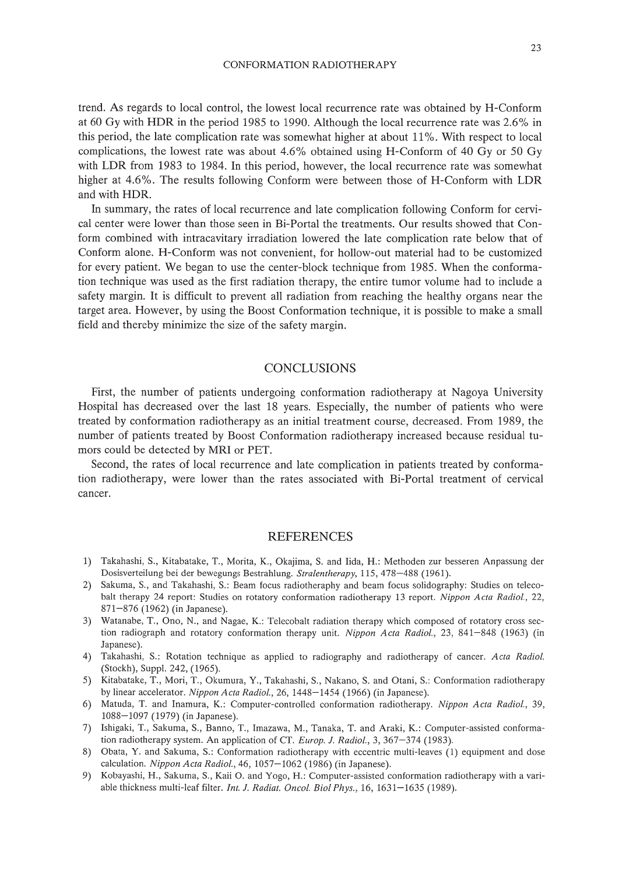CONFORMATION RADIOTHERAPY

trend. As regards to local control, the lowest local recurrence rate was obtained by H-Conform at 60 Gy with HOR in the period 1985 to 1990. Although the local recurrence rate was 2.6% in this period, the late complication rate was somewhat higher at about 11%. With respect to local complications, the lowest rate was about 4.6% obtained using H-Conform of 40 Gy or 50 Gy with LOR from 1983 to 1984. In this period, however, the local recurrence rate was somewhat higher at 4.6%. The results following Conform were between those of H-Conform with LOR and with HOR.

In summary, the rates of local recurrence and late complication following Conform for cervical center were lower than those seen in Bi-Portal the treatments. Our results showed that Conform combined with intracavitary irradiation lowered the late complication rate below that of Conform alone. H-Conform was not convenient, for hollow-out material had to be customized for every patient. We began to use the center-block technique from 1985. When the conformation technique was used as the first radiation therapy, the entire tumor volume had to include a safety margin. It is difficult to prevent all radiation from reaching the healthy organs near the target area. However, by using the Boost Conformation technique, it is possible to make a small field and thereby minimize the size of the safety margin.

# **CONCLUSIONS**

First, the number of patients undergoing conformation radiotherapy at Nagoya University Hospital has decreased over the last 18 years. Especially, the number of patients who were treated by conformation radiotherapy as an initial treatment course, decreased. From 1989, the number of patients treated by Boost Conformation radiotherapy increased because residual tumors could be detected by MRI or PET.

Second, the rates of local recurrence and late complication in patients treated by conformation radiotherapy, were lower than the rates associated with Bi-Portal treatment of cervical cancer.

## REFERENCES

- 1) Takahashi, S., Kitabatake, T., Morita, K., Okajima, S. and Iida, H.: Methoden zur besseren Anpassung der Dosisverteilung bei der bewegungs Bestrahlung. *Stralentherapy,* 115,478-488 (1961).
- 2) Sakuma, S., and Takahashi, S.: Beam focus radiotheraphy and beam focus solidography: Studies on telecobaIt therapy 24 report: Studies on rotatory conformation radiotherapy 13 report. *Nippon Acta Radial., 22,* 871-876 (1962) (in Japanese).
- 3) Watanabe, T., Ono, N., and Nagae, K.: Telecobalt radiation therapy which composed of rotatory cross section radiograph and rotatory conformation therapy unit. *Nippon Acta Radial.,* 23, 841-848 (1963) (in Japanese).
- 4) Takahashi, S.: Rotation technique as applied to radiography and radiotherapy of cancer. *Acta Radial.* (Stockh), Supp!. 242, (1965).
- 5) Kitabatake, T., Mori, T., Okumura, Y., Takahashi, S., Nakano, S. and Otani, S.: Conformation radiotherapy by linear accelerator. *Nippon Acta Radial.,* 26, 1448-1454 (1966) (in Japanese).
- 6) Matuda, T. and Inamura, K.: Computer-controlled conformation radiotherapy. *Nippon Acta Radial., 39,* 1088-1097 (1979) (in Japanese).
- 7) Ishigaki, T., Sakuma, S., Banno, T., Imazawa, M., Tanaka, T. and Araki, K.: Computer-assisted conformation radiotherapy system. An application of CT. *Europ.* J. *Radial.,* 3, 367-374 (1983).
- 8) Obata, Y. and Sakuma, S.: Conformation radiotherapy with eccentric multi-leaves (1) equipment and dose calculation. *Nippon Acta Radial.,* 46, 1057-1062 (1986) (in Japanese).
- 9) Kobayashi, H., Sakuma, S., Kaii O. and Yogo, H.: Computer-assisted conformation radiotherapy with a variable thickness multi-leaf filter. *Int.* J. *Radiat. Oncol. BioI Phys.,* 16, 1631-1635 (1989).